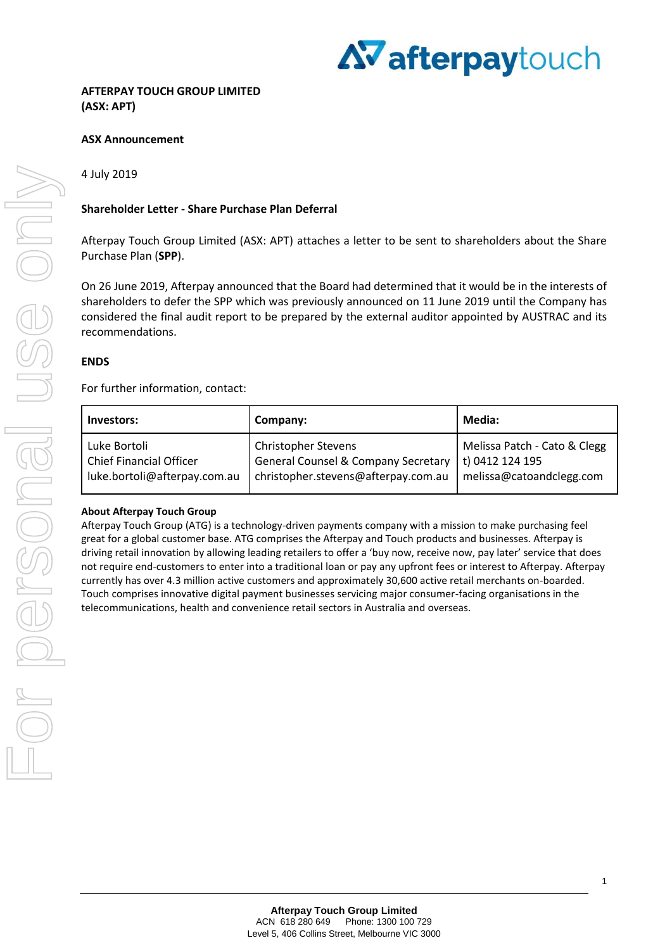

### **ASX Announcement**

### 4 July 2019

### **Shareholder Letter - Share Purchase Plan Deferral**

Afterpay Touch Group Limited (ASX: APT) attaches a letter to be sent to shareholders about the Share Purchase Plan (**SPP**).

On 26 June 2019, Afterpay announced that the Board had determined that it would be in the interests of shareholders to defer the SPP which was previously announced on 11 June 2019 until the Company has considered the final audit report to be prepared by the external auditor appointed by AUSTRAC and its recommendations.

### **ENDS**

For further information, contact:

| Investors:                     | Company:                                       | Media:                       |
|--------------------------------|------------------------------------------------|------------------------------|
| Luke Bortoli                   | <b>Christopher Stevens</b>                     | Melissa Patch - Cato & Clegg |
| <b>Chief Financial Officer</b> | <b>General Counsel &amp; Company Secretary</b> | t) 0412 124 195              |
| luke.bortoli@afterpay.com.au   | christopher.stevens@afterpay.com.au            | melissa@catoandclegg.com     |

#### **About Afterpay Touch Group**

Afterpay Touch Group (ATG) is a technology-driven payments company with a mission to make purchasing feel great for a global customer base. ATG comprises the Afterpay and Touch products and businesses. Afterpay is driving retail innovation by allowing leading retailers to offer a 'buy now, receive now, pay later' service that does not require end-customers to enter into a traditional loan or pay any upfront fees or interest to Afterpay. Afterpay currently has over 4.3 million active customers and approximately 30,600 active retail merchants on-boarded. Touch comprises innovative digital payment businesses servicing major consumer-facing organisations in the telecommunications, health and convenience retail sectors in Australia and overseas.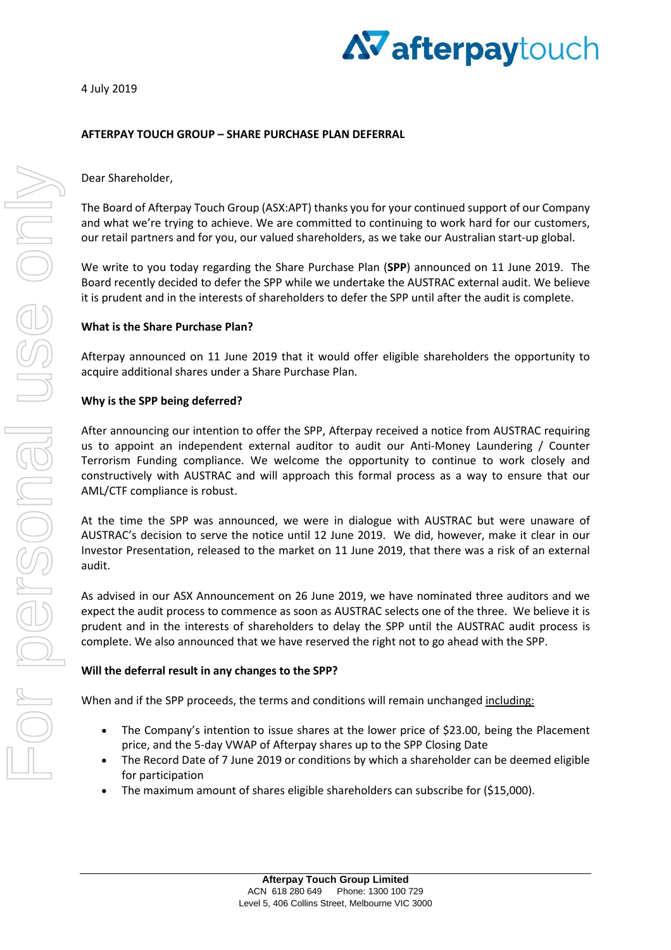4 July 2019



# **AFTERPAY TOUCH GROUP – SHARE PURCHASE PLAN DEFERRAL**

## Dear Shareholder,

The Board of Afterpay Touch Group (ASX:APT) thanks you for your continued support of our Company and what we're trying to achieve. We are committed to continuing to work hard for our customers, our retail partners and for you, our valued shareholders, as we take our Australian start-up global.

We write to you today regarding the Share Purchase Plan (**SPP**) announced on 11 June 2019. The Board recently decided to defer the SPP while we undertake the AUSTRAC external audit. We believe it is prudent and in the interests of shareholders to defer the SPP until after the audit is complete.

### **What is the Share Purchase Plan?**

Afterpay announced on 11 June 2019 that it would offer eligible shareholders the opportunity to acquire additional shares under a Share Purchase Plan.

## **Why is the SPP being deferred?**

After announcing our intention to offer the SPP, Afterpay received a notice from AUSTRAC requiring us to appoint an independent external auditor to audit our Anti-Money Laundering / Counter Terrorism Funding compliance. We welcome the opportunity to continue to work closely and constructively with AUSTRAC and will approach this formal process as a way to ensure that our AML/CTF compliance is robust.

At the time the SPP was announced, we were in dialogue with AUSTRAC but were unaware of AUSTRAC's decision to serve the notice until 12 June 2019. We did, however, make it clear in our Investor Presentation, released to the market on 11 June 2019, that there was a risk of an external audit.

As advised in our ASX Announcement on 26 June 2019, we have nominated three auditors and we expect the audit process to commence as soon as AUSTRAC selects one of the three. We believe it is prudent and in the interests of shareholders to delay the SPP until the AUSTRAC audit process is complete. We also announced that we have reserved the right not to go ahead with the SPP.

# **Will the deferral result in any changes to the SPP?**

When and if the SPP proceeds, the terms and conditions will remain unchanged including:

- The Company's intention to issue shares at the lower price of \$23.00, being the Placement price, and the 5-day VWAP of Afterpay shares up to the SPP Closing Date
- The Record Date of 7 June 2019 or conditions by which a shareholder can be deemed eligible for participation
- The maximum amount of shares eligible shareholders can subscribe for (\$15,000).